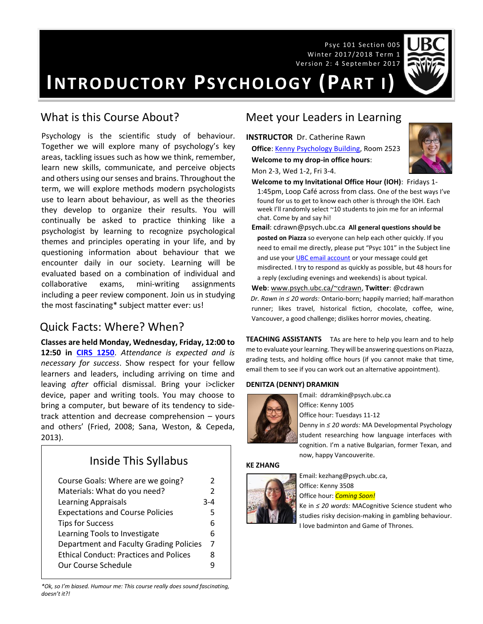Psyc 101 Section 005 Winter 2017/2018 Term 1 Version 2: 4 September 2017



**INTRODUCTORY PSYCHOLOGY (PART I)**

# What is this Course About?

Psychology is the scientific study of behaviour. Together we will explore many of psychology's key areas, tackling issues such as how we think, remember, learn new skills, communicate, and perceive objects and others using our senses and brains. Throughout the term, we will explore methods modern psychologists use to learn about behaviour, as well as the theories they develop to organize their results. You will continually be asked to practice thinking like a psychologist by learning to recognize psychological themes and principles operating in your life, and by questioning information about behaviour that we encounter daily in our society. Learning will be evaluated based on a combination of individual and collaborative exams, mini-writing assignments including a peer review component. Join us in studying the most fascinating\* subject matter ever: us!

## Quick Facts: Where? When?

**Classes are held Monday, Wednesday, Friday, 12:00 to 12:50 in [CIRS 1250](http://www.maps.ubc.ca/PROD/index_detail.php?locat1=633)**. *Attendance is expected and is necessary for success*. Show respect for your fellow learners and leaders, including arriving on time and leaving *after* official dismissal. Bring your i>clicker device, paper and writing tools. You may choose to bring a computer, but beware of its tendency to sidetrack attention and decrease comprehension – yours and others' (Fried, 2008; Sana, Weston, & Cepeda, 2013).

# Inside This Syllabus

| Course Goals: Where are we going?             | 2             |
|-----------------------------------------------|---------------|
| Materials: What do you need?                  | $\mathcal{P}$ |
| <b>Learning Appraisals</b>                    | $3 - 4$       |
| <b>Expectations and Course Policies</b>       | 5             |
| <b>Tips for Success</b>                       | 6             |
| Learning Tools to Investigate                 | 6             |
| Department and Faculty Grading Policies       | 7             |
| <b>Ethical Conduct: Practices and Polices</b> | 8             |
| Our Course Schedule                           |               |
|                                               |               |

*\*Ok, so I'm biased. Humour me: This course really does sound fascinating, doesn't it?!*

## Meet your Leaders in Learning

**INSTRUCTOR** Dr. Catherine Rawn

Mon 2-3, Wed 1-2, Fri 3-4.

**Office**: [Kenny Psychology Building,](http://www.maps.ubc.ca/PROD/index_detail.php?locat1=732) Room 2523 **Welcome to my drop-in office hours**:



**Welcome to my Invitational Office Hour (IOH)**: Fridays 1- 1:45pm, Loop Café across from class. One of the best ways I've found for us to get to know each other is through the IOH. Each week I'll randomly select ~10 students to join me for an informal chat. Come by and say hi!

**Email**: cdrawn@psych.ubc.ca **All general questions should be posted on Piazza** so everyone can help each other quickly. If you need to email me directly, please put "Psyc 101" in the Subject line and use you[r UBC email account](http://it.ubc.ca/services/email-voice-internet/student-alumni-email-service) or your message could get misdirected. I try to respond as quickly as possible, but 48 hours for a reply (excluding evenings and weekends) is about typical.

**Web**[: www.psych.ubc.ca/~cdrawn,](http://www.psych.ubc.ca/~cdrawn) **Twitter**: @cdrawn *Dr. Rawn in ≤ 20 words:* Ontario-born; happily married; half-marathon runner; likes travel, historical fiction, chocolate, coffee, wine, Vancouver, a good challenge; dislikes horror movies, cheating.

**TEACHING ASSISTANTS** TAs are here to help you learn and to help me to evaluate your learning. They will be answering questions on Piazza, grading tests, and holding office hours (if you cannot make that time, email them to see if you can work out an alternative appointment).

#### **DENITZA (DENNY) DRAMKIN**



Email: ddramkin@psych.ubc.ca Office: Kenny 1005

Office hour: Tuesdays 11-12

Denny in *≤ 20 words:* MA Developmental Psychology student researching how language interfaces with cognition. I'm a native Bulgarian, former Texan, and now, happy Vancouverite.

#### **KE ZHANG**



Email: kezhang@psych.ubc.ca, Office: Kenny 3508

Office hour: *Coming Soon!*

Ke in *≤ 20 words:* MACognitive Science student who studies risky decision-making in gambling behaviour. I love badminton and Game of Thrones.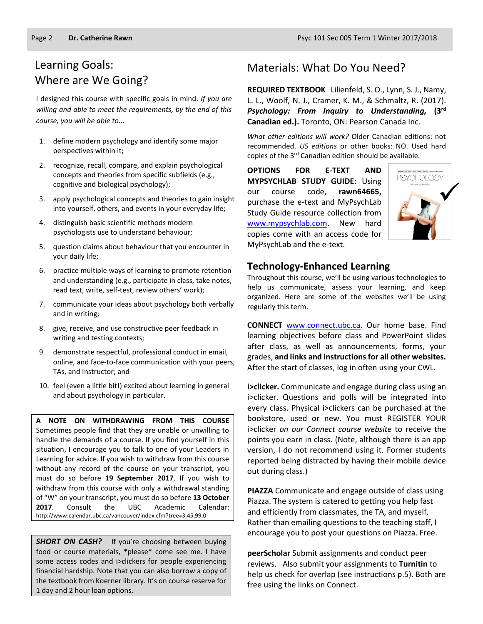# Learning Goals: Where are We Going?

I designed this course with specific goals in mind. *If you are willing and able to meet the requirements, by the end of this course, you will be able to...*

- 1. define modern psychology and identify some major perspectives within it;
- 2. recognize, recall, compare, and explain psychological concepts and theories from specific subfields (e.g., cognitive and biological psychology);
- 3. apply psychological concepts and theories to gain insight into yourself, others, and events in your everyday life;
- 4. distinguish basic scientific methods modern psychologists use to understand behaviour;
- 5. question claims about behaviour that you encounter in your daily life;
- 6. practice multiple ways of learning to promote retention and understanding (e.g., participate in class, take notes, read text, write, self-test, review others' work);
- 7. communicate your ideas about psychology both verbally and in writing;
- 8. give, receive, and use constructive peer feedback in writing and testing contexts;
- 9. demonstrate respectful, professional conduct in email, online, and face-to-face communication with your peers, TAs, and Instructor; and
- 10. feel (even a little bit!) excited about learning in general and about psychology in particular.

**A NOTE ON WITHDRAWING FROM THIS COURSE**  Sometimes people find that they are unable or unwilling to handle the demands of a course. If you find yourself in this situation, I encourage you to talk to one of your Leaders in Learning for advice. If you wish to withdraw from this course without any record of the course on your transcript, you must do so before **19 September 2017**. If you wish to withdraw from this course with only a withdrawal standing of "W" on your transcript, you must do so before **13 October 2017**. Consult the UBC Academic Calendar: <http://www.calendar.ubc.ca/vancouver/index.cfm?tree=3,45,99,0>

**SHORT ON CASH?** If you're choosing between buying food or course materials, \*please\* come see me. I have some access codes and i>clickers for people experiencing financial hardship. Note that you can also borrow a copy of the textbook from Koerner library. It's on course reserve for 1 day and 2 hour loan options.

# Materials: What Do You Need?

**REQUIRED TEXTBOOK** Lilienfeld, S. O., Lynn, S. J., Namy, L. L., Woolf, N. J., Cramer, K. M., & Schmaltz, R. (2017). *Psychology: From Inquiry to Understanding,* **(3 rd Canadian ed.).** Toronto, ON: Pearson Canada Inc.

*What other editions will work?* Older Canadian editions: not recommended. *US editions* or other books: NO. Used hard copies of the 3<sup>rd</sup> Canadian edition should be available.

**OPTIONS FOR E-TEXT AND MYPSYCHLAB STUDY GUIDE:** Using our course code, **rawn64665,** purchase the e-text and MyPsychLab Study Guide resource collection from [www.mypsychlab.com.](http://www.mypsychlab.com/) New hard copies come with an access code for MyPsychLab and the e-text.



#### **Technology-Enhanced Learning**

Throughout this course, we'll be using various technologies to help us communicate, assess your learning, and keep organized. Here are some of the websites we'll be using regularly this term.

**CONNECT** [www.connect.ubc.ca.](http://www.connect.ubc.ca/) Our home base. Find learning objectives before class and PowerPoint slides after class, as well as announcements, forms, your grades, **and links and instructions for all other websites.** After the start of classes, log in often using your CWL.

**i>clicker.** Communicate and engage during class using an i>clicker. Questions and polls will be integrated into every class. Physical i>clickers can be purchased at the bookstore, used or new. You must REGISTER YOUR i>clicker *on our Connect course website* to receive the points you earn in class. (Note, although there is an app version, I do not recommend using it. Former students reported being distracted by having their mobile device out during class.)

**PIAZZA** Communicate and engage outside of class using Piazza. The system is catered to getting you help fast and efficiently from classmates, the TA, and myself. Rather than emailing questions to the teaching staff, I encourage you to post your questions on Piazza. Free.

**peerScholar** Submit assignments and conduct peer reviews. Also submit your assignments to **Turnitin** to help us check for overlap (see instructions p.5). Both are free using the links on Connect.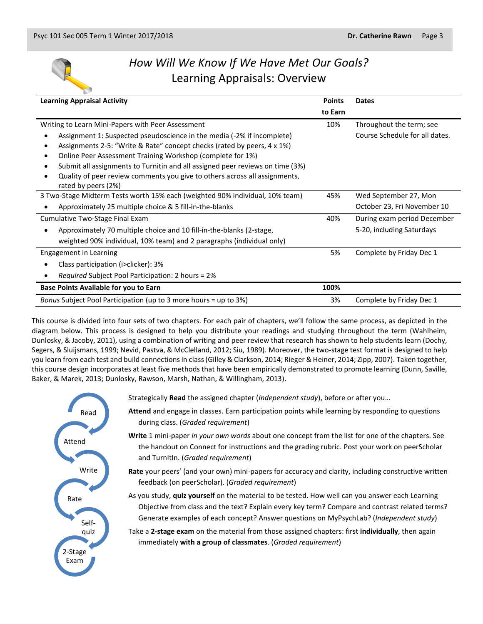

# *How Will We Know If We Have Met Our Goals?* Learning Appraisals: Overview

| <b>Learning Appraisal Activity</b>                                                                                                                          | <b>Points</b> | <b>Dates</b>                   |
|-------------------------------------------------------------------------------------------------------------------------------------------------------------|---------------|--------------------------------|
|                                                                                                                                                             | to Earn       |                                |
| Writing to Learn Mini-Papers with Peer Assessment                                                                                                           |               | Throughout the term; see       |
| Assignment 1: Suspected pseudoscience in the media (-2% if incomplete)<br>Assignments 2-5: "Write & Rate" concept checks (rated by peers, 4 x 1%)           |               | Course Schedule for all dates. |
| Online Peer Assessment Training Workshop (complete for 1%)                                                                                                  |               |                                |
| Submit all assignments to Turnitin and all assigned peer reviews on time (3%)<br>Quality of peer review comments you give to others across all assignments, |               |                                |
| rated by peers (2%)                                                                                                                                         |               |                                |
| 3 Two-Stage Midterm Tests worth 15% each (weighted 90% individual, 10% team)                                                                                |               | Wed September 27, Mon          |
| Approximately 25 multiple choice & 5 fill-in-the-blanks                                                                                                     |               | October 23, Fri November 10    |
| Cumulative Two-Stage Final Exam                                                                                                                             |               | During exam period December    |
| Approximately 70 multiple choice and 10 fill-in-the-blanks (2-stage,                                                                                        |               | 5-20, including Saturdays      |
| weighted 90% individual, 10% team) and 2 paragraphs (individual only)                                                                                       |               |                                |
| Engagement in Learning                                                                                                                                      |               | Complete by Friday Dec 1       |
| Class participation (i>clicker): 3%                                                                                                                         |               |                                |
| <i>Required</i> Subject Pool Participation: 2 hours = 2%                                                                                                    |               |                                |
| <b>Base Points Available for you to Earn</b>                                                                                                                | 100%          |                                |
| Bonus Subject Pool Participation (up to 3 more hours = up to 3%)                                                                                            | 3%            | Complete by Friday Dec 1       |

This course is divided into four sets of two chapters. For each pair of chapters, we'll follow the same process, as depicted in the diagram below. This process is designed to help you distribute your readings and studying throughout the term (Wahlheim, Dunlosky, & Jacoby, 2011), using a combination of writing and peer review that research has shown to help students learn (Dochy, Segers, & Sluijsmans, 1999; Nevid, Pastva, & McClelland, 2012; Siu, 1989). Moreover, the two-stage test format is designed to help you learn from each test and build connections in class (Gilley & Clarkson, 2014; Rieger & Heiner, 2014; Zipp, 2007). Taken together, this course design incorporates at least five methods that have been empirically demonstrated to promote learning (Dunn, Saville, Baker, & Marek, 2013; Dunlosky, Rawson, Marsh, Nathan, & Willingham, 2013).



Strategically **Read** the assigned chapter (*Independent study*), before or after you…

- **Attend** and engage in classes. Earn participation points while learning by responding to questions during class. (*Graded requirement*)
- **Write** 1 mini-paper *in your own words* about one concept from the list for one of the chapters. See the handout on Connect for instructions and the grading rubric. Post your work on peerScholar and TurnItIn. (*Graded requirement*)

**Rate** your peers' (and your own) mini-papers for accuracy and clarity, including constructive written feedback (on peerScholar). (*Graded requirement*)

As you study, **quiz yourself** on the material to be tested. How well can you answer each Learning Objective from class and the text? Explain every key term? Compare and contrast related terms? Generate examples of each concept? Answer questions on MyPsychLab? (*Independent study*)

Take a **2-stage exam** on the material from those assigned chapters: first **individually**, then again immediately **with a group of classmates**. (*Graded requirement*)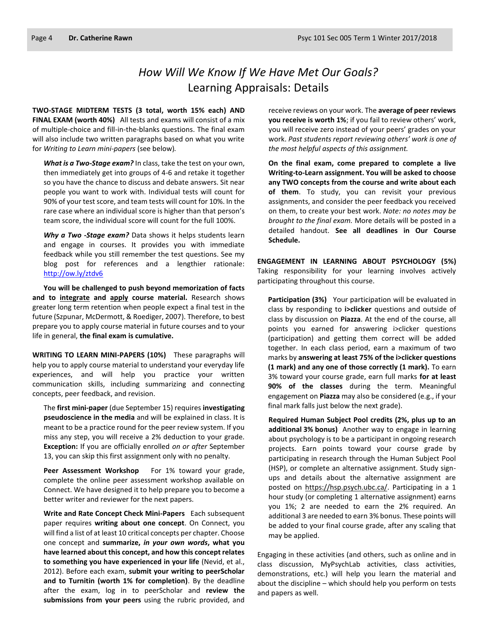# *How Will We Know If We Have Met Our Goals?* Learning Appraisals: Details

**TWO-STAGE MIDTERM TESTS (3 total, worth 15% each) AND FINAL EXAM (worth 40%)** All tests and exams will consist of a mix of multiple-choice and fill-in-the-blanks questions. The final exam will also include two written paragraphs based on what you write for *Writing to Learn mini-papers* (see below)*.*

*What is a Two-Stage exam?* In class, take the test on your own, then immediately get into groups of 4-6 and retake it together so you have the chance to discuss and debate answers. Sit near people you want to work with. Individual tests will count for 90% of your test score, and team tests will count for 10%. In the rare case where an individual score is higher than that person's team score, the individual score will count for the full 100%.

*Why a Two -Stage exam?* Data shows it helps students learn and engage in courses. It provides you with immediate feedback while you still remember the test questions. See my blog post for references and a lengthier rationale: <http://ow.ly/ztdv6>

**You will be challenged to push beyond memorization of facts and to integrate and apply course material.** Research shows greater long term retention when people expect a final test in the future (Szpunar, McDermott, & Roediger, 2007). Therefore, to best prepare you to apply course material in future courses and to your life in general, **the final exam is cumulative.**

**WRITING TO LEARN MINI-PAPERS (10%)** These paragraphs will help you to apply course material to understand your everyday life experiences, and will help you practice your written communication skills, including summarizing and connecting concepts, peer feedback, and revision.

The **first mini-paper** (due September 15) requires **investigating pseudoscience in the media** and will be explained in class. It is meant to be a practice round for the peer review system. If you miss any step, you will receive a 2% deduction to your grade. **Exception:** If you are officially enrolled *on or after* September 13, you can skip this first assignment only with no penalty.

**Peer Assessment Workshop** For 1% toward your grade, complete the online peer assessment workshop available on Connect. We have designed it to help prepare you to become a better writer and reviewer for the next papers.

**Write and Rate Concept Check Mini-Papers** Each subsequent paper requires **writing about one concept**. On Connect, you will find a list of at least 10 critical concepts per chapter. Choose one concept and **summarize,** *in your own words***, what you have learned about this concept, and how this concept relates to something you have experienced in your life** (Nevid, et al., 2012). Before each exam, **submit your writing to peerScholar and to Turnitin (worth 1% for completion)**. By the deadline after the exam, log in to peerScholar and **review the submissions from your peers** using the rubric provided, and

receive reviews on your work. The **average of peer reviews you receive is worth 1%**; if you fail to review others' work, you will receive zero instead of your peers' grades on your work. *Past students report reviewing others' work is one of the most helpful aspects of this assignment.*

**On the final exam, come prepared to complete a live Writing-to-Learn assignment. You will be asked to choose any TWO concepts from the course and write about each of them**. To study, you can revisit your previous assignments, and consider the peer feedback you received on them, to create your best work. *Note: no notes may be brought to the final exam.* More details will be posted in a detailed handout. **See all deadlines in Our Course Schedule.**

**ENGAGEMENT IN LEARNING ABOUT PSYCHOLOGY (5%)** Taking responsibility for your learning involves actively participating throughout this course.

**Participation (3%)** Your participation will be evaluated in class by responding to **i>clicker** questions and outside of class by discussion on **Piazza**. At the end of the course, all points you earned for answering i>clicker questions (participation) and getting them correct will be added together. In each class period, earn a maximum of two marks by **answering at least 75% of the i>clicker questions (1 mark) and any one of those correctly (1 mark).** To earn 3% toward your course grade, earn full marks **for at least 90% of the classes** during the term. Meaningful engagement on **Piazza** may also be considered (e.g., if your final mark falls just below the next grade).

**Required Human Subject Pool credits (2%, plus up to an additional 3% bonus)** Another way to engage in learning about psychology is to be a participant in ongoing research projects. Earn points toward your course grade by participating in research through the Human Subject Pool (HSP), or complete an alternative assignment. Study signups and details about the alternative assignment are posted on [https://hsp.psych.ubc.ca/.](https://hsp.psych.ubc.ca/) Participating in a 1 hour study (or completing 1 alternative assignment) earns you 1%; 2 are needed to earn the 2% required. An additional 3 are needed to earn 3% bonus. These points will be added to your final course grade, after any scaling that may be applied.

Engaging in these activities (and others, such as online and in class discussion, MyPsychLab activities, class activities, demonstrations, etc.) will help you learn the material and about the discipline – which should help you perform on tests and papers as well.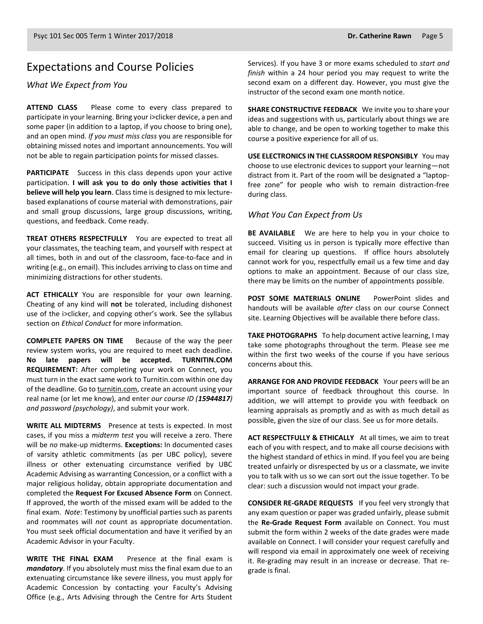#### Expectations and Course Policies

*What We Expect from You*

**ATTEND CLASS** Please come to every class prepared to participate in your learning. Bring your i>clicker device, a pen and some paper (in addition to a laptop, if you choose to bring one), and an open mind. *If you must miss class* you are responsible for obtaining missed notes and important announcements. You will not be able to regain participation points for missed classes.

**PARTICIPATE** Success in this class depends upon your active participation. **I will ask you to do only those activities that I believe will help you learn**. Class time is designed to mix lecturebased explanations of course material with demonstrations, pair and small group discussions, large group discussions, writing, questions, and feedback. Come ready.

**TREAT OTHERS RESPECTFULLY** You are expected to treat all your classmates, the teaching team, and yourself with respect at all times, both in and out of the classroom, face-to-face and in writing (e.g., on email). This includes arriving to class on time and minimizing distractions for other students.

**ACT ETHICALLY** You are responsible for your own learning. Cheating of any kind will **not** be tolerated, including dishonest use of the i>clicker, and copying other's work. See the syllabus section on *Ethical Conduct* for more information.

**COMPLETE PAPERS ON TIME** Because of the way the peer review system works, you are required to meet each deadline. **No late papers will be accepted. TURNITIN.COM REQUIREMENT:** After completing your work on Connect, you must turn in the exact same work to Turnitin.com within one day of the deadline. Go t[o turnitin.com,](http://www.turnitin.com/) create an account using your real name (or let me know), and enter *our course ID (15944817) and password (psychology)*, and submit your work.

**WRITE ALL MIDTERMS** Presence at tests is expected. In most cases, if you miss a *midterm test* you will receive a zero. There will be *no* make-up midterms. **Exceptions:** In documented cases of varsity athletic commitments (as per UBC policy), severe illness or other extenuating circumstance verified by UBC Academic Advising as warranting Concession, or a conflict with a major religious holiday, obtain appropriate documentation and completed the **Request For Excused Absence Form** on Connect. If approved, the worth of the missed exam will be added to the final exam. *Note*: Testimony by unofficial parties such as parents and roommates will *not* count as appropriate documentation. You must seek official documentation and have it verified by an Academic Advisor in your Faculty.

**WRITE THE FINAL EXAM** Presence at the final exam is *mandatory*. If you absolutely must miss the final exam due to an extenuating circumstance like severe illness, you must apply for Academic Concession by contacting your Faculty's Advising Office (e.g., Arts Advising through the Centre for Arts Student

Services). If you have 3 or more exams scheduled to *start and finish* within a 24 hour period you may request to write the second exam on a different day. However, you must give the instructor of the second exam one month notice.

**SHARE CONSTRUCTIVE FEEDBACK** We invite you to share your ideas and suggestions with us, particularly about things we are able to change, and be open to working together to make this course a positive experience for all of us.

**USE ELECTRONICS IN THE CLASSROOM RESPONSIBLY** You may choose to use electronic devices to support your learning—not distract from it. Part of the room will be designated a "laptopfree zone" for people who wish to remain distraction-free during class.

#### *What You Can Expect from Us*

**BE AVAILABLE** We are here to help you in your choice to succeed. Visiting us in person is typically more effective than email for clearing up questions. If office hours absolutely cannot work for you, respectfully email us a few time and day options to make an appointment. Because of our class size, there may be limits on the number of appointments possible.

**POST SOME MATERIALS ONLINE** PowerPoint slides and handouts will be available *after* class on our course Connect site. Learning Objectives will be available there before class.

**TAKE PHOTOGRAPHS** To help document active learning, I may take some photographs throughout the term. Please see me within the first two weeks of the course if you have serious concerns about this.

**ARRANGE FOR AND PROVIDE FEEDBACK** Your peers will be an important source of feedback throughout this course. In addition, we will attempt to provide you with feedback on learning appraisals as promptly and as with as much detail as possible, given the size of our class. See us for more details.

**ACT RESPECTFULLY & ETHICALLY** At all times, we aim to treat each of you with respect, and to make all course decisions with the highest standard of ethics in mind. If you feel you are being treated unfairly or disrespected by us or a classmate, we invite you to talk with us so we can sort out the issue together. To be clear: such a discussion would not impact your grade.

**CONSIDER RE-GRADE REQUESTS** If you feel very strongly that any exam question or paper was graded unfairly, please submit the **Re-Grade Request Form** available on Connect. You must submit the form within 2 weeks of the date grades were made available on Connect. I will consider your request carefully and will respond via email in approximately one week of receiving it. Re-grading may result in an increase or decrease. That regrade is final.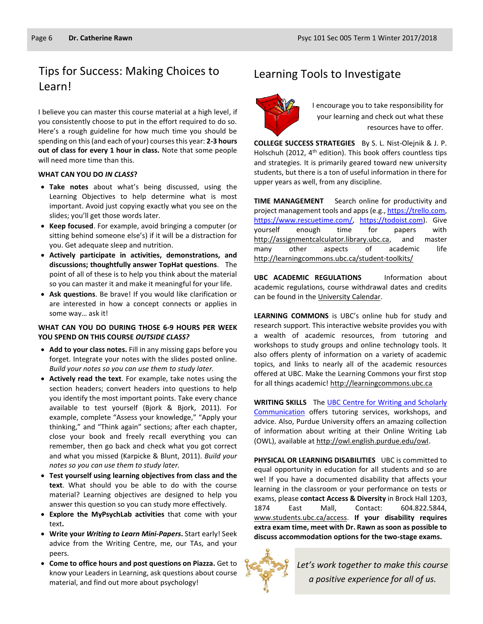# Tips for Success: Making Choices to Learning Tools to Investigate Learn!

I believe you can master this course material at a high level, if you consistently choose to put in the effort required to do so. Here's a rough guideline for how much time you should be spending on this (and each of your) courses this year: **2-3 hours out of class for every 1 hour in class.** Note that some people will need more time than this.

#### **WHAT CAN YOU DO** *IN CLASS***?**

- **Take notes** about what's being discussed, using the Learning Objectives to help determine what is most important. Avoid just copying exactly what you see on the slides; you'll get those words later.
- **Keep focused**. For example, avoid bringing a computer (or sitting behind someone else's) if it will be a distraction for you. Get adequate sleep and nutrition.
- **Actively participate in activities, demonstrations, and discussions; thoughtfully answer TopHat questions**. The point of all of these is to help you think about the material so you can master it and make it meaningful for your life.
- **Ask questions**. Be brave! If you would like clarification or are interested in how a concept connects or applies in some way… ask it!

#### **WHAT CAN YOU DO DURING THOSE 6-9 HOURS PER WEEK YOU SPEND ON THIS COURSE** *OUTSIDE CLASS?*

- **Add to your class notes.** Fill in any missing gaps before you forget. Integrate your notes with the slides posted online. *Build your notes so you can use them to study later.*
- **Actively read the text**. For example, take notes using the section headers; convert headers into questions to help you identify the most important points. Take every chance available to test yourself (Bjork & Bjork, 2011). For example, complete "Assess your knowledge," "Apply your thinking," and "Think again" sections; after each chapter, close your book and freely recall everything you can remember, then go back and check what you got correct and what you missed (Karpicke & Blunt, 2011). *Build your notes so you can use them to study later.*
- **Test yourself using learning objectives from class and the text**. What should you be able to do with the course material? Learning objectives are designed to help you answer this question so you can study more effectively.
- **Explore the MyPsychLab activities** that come with your text**.**
- **Write your** *Writing to Learn Mini-Papers***.** Start early! Seek advice from the Writing Centre, me, our TAs, and your peers.
- **Come to office hours and post questions on Piazza.** Get to know your Leaders in Learning, ask questions about course material, and find out more about psychology!



I encourage you to take responsibility for your learning and check out what these resources have to offer.

**COLLEGE SUCCESS STRATEGIES** By S. L. Nist-Olejnik & J. P. Holschuh (2012,  $4<sup>th</sup>$  edition). This book offers countless tips and strategies. It is primarily geared toward new university students, but there is a ton of useful information in there for upper years as well, from any discipline.

**TIME MANAGEMENT** Search online for productivity and project management tools and apps (e.g.[, https://trello.com,](https://trello.com/) [https://www.rescuetime.com/,](https://www.rescuetime.com/) [https://todoist.com\)](https://todoist.com/). Give yourself enough time for papers with [http://assignmentcalculator.library.ubc.ca,](http://assignmentcalculator.library.ubc.ca/) and master many other aspects of academic life <http://learningcommons.ubc.ca/student-toolkits/>

**UBC ACADEMIC REGULATIONS** Information about academic regulations, course withdrawal dates and credits can be found in the [University Calendar.](http://www.calendar.ubc.ca/vancouver/)

**LEARNING COMMONS** is UBC's online hub for study and research support. This interactive website provides you with a wealth of academic resources, from tutoring and workshops to study groups and online technology tools. It also offers plenty of information on a variety of academic topics, and links to nearly all of the academic resources offered at UBC. Make the Learning Commons your first stop for all things academic! [http://learningcommons.ubc.ca](http://learningcommons.ubc.ca/)

**WRITING SKILLS** Th[e UBC Centre for Writing and Scholarly](http://learningcommons.ubc.ca/tutoring-studying/writing/)  [Communication](http://learningcommons.ubc.ca/tutoring-studying/writing/) offers tutoring services, workshops, and advice. Also, Purdue University offers an amazing collection of information about writing at their Online Writing Lab (OWL), available at [http://owl.english.purdue.edu/owl.](http://owl.english.purdue.edu/owl/)

**PHYSICAL OR LEARNING DISABILITIES** UBC is committed to equal opportunity in education for all students and so are we! If you have a documented disability that affects your learning in the classroom or your performance on tests or exams, please **contact Access & Diversity** in Brock Hall 1203, 1874 East Mall, Contact: 604.822.5844, [www.students.ubc.ca/access.](http://www.students.ubc.ca/access) **If your disability requires extra exam time, meet with Dr. Rawn as soon as possible to discuss accommodation options for the two-stage exams.**



*Let's work together to make this course a positive experience for all of us.*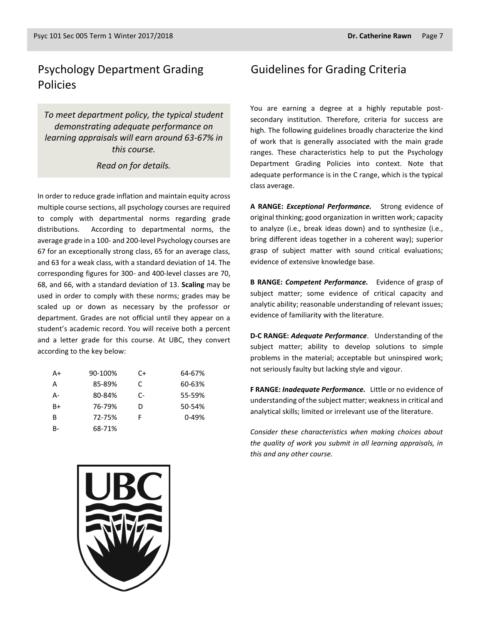# Psychology Department Grading Policies

*To meet department policy, the typical student demonstrating adequate performance on learning appraisals will earn around 63-67% in this course.* 

*Read on for details.*

In order to reduce grade inflation and maintain equity across multiple course sections, all psychology courses are required to comply with departmental norms regarding grade distributions. According to departmental norms, the average grade in a 100- and 200-level Psychology courses are 67 for an exceptionally strong class, 65 for an average class, and 63 for a weak class, with a standard deviation of 14. The corresponding figures for 300- and 400-level classes are 70, 68, and 66, with a standard deviation of 13. **Scaling** may be used in order to comply with these norms; grades may be scaled up or down as necessary by the professor or department. Grades are not official until they appear on a student's academic record. You will receive both a percent and a letter grade for this course. At UBC, they convert according to the key below:

| $A+$  | 90-100% | C+ | 64-67%    |
|-------|---------|----|-----------|
| A     | 85-89%  | C  | 60-63%    |
| А-    | 80-84%  | C- | 55-59%    |
| $B+$  | 76-79%  | D  | 50-54%    |
| B     | 72-75%  | F  | $0 - 49%$ |
| $B -$ | 68-71%  |    |           |

#### Guidelines for Grading Criteria

You are earning a degree at a highly reputable postsecondary institution. Therefore, criteria for success are high. The following guidelines broadly characterize the kind of work that is generally associated with the main grade ranges. These characteristics help to put the Psychology Department Grading Policies into context. Note that adequate performance is in the C range, which is the typical class average.

**A RANGE:** *Exceptional Performance.* Strong evidence of original thinking; good organization in written work; capacity to analyze (i.e., break ideas down) and to synthesize (i.e., bring different ideas together in a coherent way); superior grasp of subject matter with sound critical evaluations; evidence of extensive knowledge base.

**B RANGE:** *Competent Performance.* Evidence of grasp of subject matter; some evidence of critical capacity and analytic ability; reasonable understanding of relevant issues; evidence of familiarity with the literature.

**D-C RANGE:** *Adequate Performance*. Understanding of the subject matter; ability to develop solutions to simple problems in the material; acceptable but uninspired work; not seriously faulty but lacking style and vigour.

**F RANGE:** *Inadequate Performance.* Little or no evidence of understanding of the subject matter; weakness in critical and analytical skills; limited or irrelevant use of the literature.

*Consider these characteristics when making choices about the quality of work you submit in all learning appraisals, in this and any other course.*

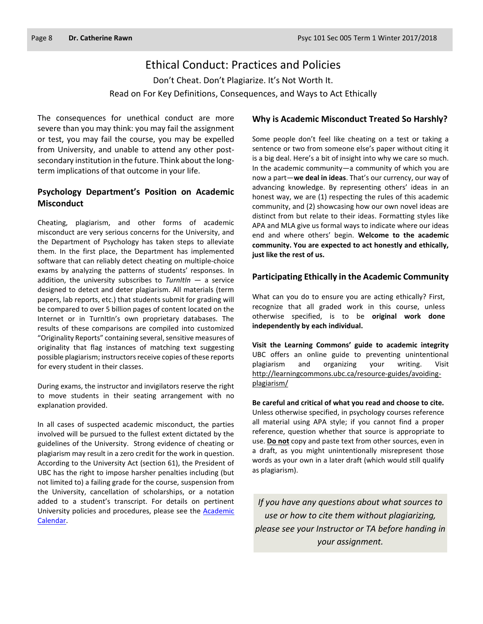#### Ethical Conduct: Practices and Policies

Don't Cheat. Don't Plagiarize. It's Not Worth It. Read on For Key Definitions, Consequences, and Ways to Act Ethically

The consequences for unethical conduct are more severe than you may think: you may fail the assignment or test, you may fail the course, you may be expelled from University, and unable to attend any other postsecondary institution in the future. Think about the longterm implications of that outcome in your life.

#### **Psychology Department's Position on Academic Misconduct**

Cheating, plagiarism, and other forms of academic misconduct are very serious concerns for the University, and the Department of Psychology has taken steps to alleviate them. In the first place, the Department has implemented software that can reliably detect cheating on multiple-choice exams by analyzing the patterns of students' responses. In addition, the university subscribes to *TurnItIn* — a service designed to detect and deter plagiarism. All materials (term papers, lab reports, etc.) that students submit for grading will be compared to over 5 billion pages of content located on the Internet or in TurnItIn's own proprietary databases. The results of these comparisons are compiled into customized "Originality Reports" containing several, sensitive measures of originality that flag instances of matching text suggesting possible plagiarism; instructors receive copies of these reports for every student in their classes.

During exams, the instructor and invigilators reserve the right to move students in their seating arrangement with no explanation provided.

In all cases of suspected academic misconduct, the parties involved will be pursued to the fullest extent dictated by the guidelines of the University. Strong evidence of cheating or plagiarism may result in a zero credit for the work in question. According to the University Act (section 61), the President of UBC has the right to impose harsher penalties including (but not limited to) a failing grade for the course, suspension from the University, cancellation of scholarships, or a notation added to a student's transcript. For details on pertinent University policies and procedures, please see the [Academic](http://www.calendar.ubc.ca/vancouver/index.cfm?tree=3,54,111,0)  [Calendar.](http://www.calendar.ubc.ca/vancouver/index.cfm?tree=3,54,111,0)

#### **Why is Academic Misconduct Treated So Harshly?**

Some people don't feel like cheating on a test or taking a sentence or two from someone else's paper without citing it is a big deal. Here's a bit of insight into why we care so much. In the academic community—a community of which you are now a part—**we deal in ideas**. That's our currency, our way of advancing knowledge. By representing others' ideas in an honest way, we are (1) respecting the rules of this academic community, and (2) showcasing how our own novel ideas are distinct from but relate to their ideas. Formatting styles like APA and MLA give us formal ways to indicate where our ideas end and where others' begin. **Welcome to the academic community. You are expected to act honestly and ethically, just like the rest of us.**

#### **Participating Ethically in the Academic Community**

What can you do to ensure you are acting ethically? First, recognize that all graded work in this course, unless otherwise specified, is to be **original work done independently by each individual.**

**Visit the Learning Commons' guide to academic integrity**  UBC offers an online guide to preventing unintentional plagiarism and organizing your writing. Visit [http://learningcommons.ubc.ca/resource-guides/avoiding](http://learningcommons.ubc.ca/resource-guides/avoiding-plagiarism/)[plagiarism/](http://learningcommons.ubc.ca/resource-guides/avoiding-plagiarism/)

**Be careful and critical of what you read and choose to cite.** Unless otherwise specified, in psychology courses reference all material using APA style; if you cannot find a proper reference, question whether that source is appropriate to use. **Do not** copy and paste text from other sources, even in a draft, as you might unintentionally misrepresent those words as your own in a later draft (which would still qualify as plagiarism).

*If you have any questions about what sources to use or how to cite them without plagiarizing, please see your Instructor or TA before handing in your assignment.*